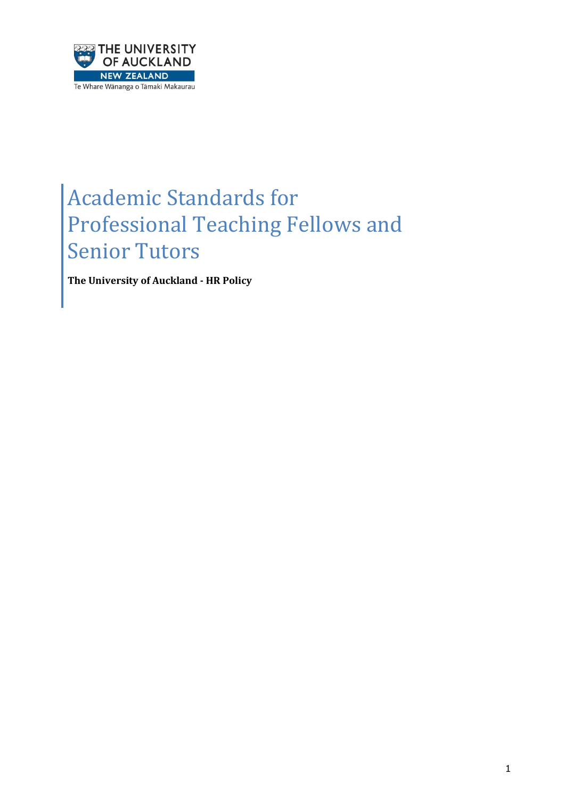

# Academic Standards for Professional Teaching Fellows and Senior Tutors

**The University of Auckland - HR Policy**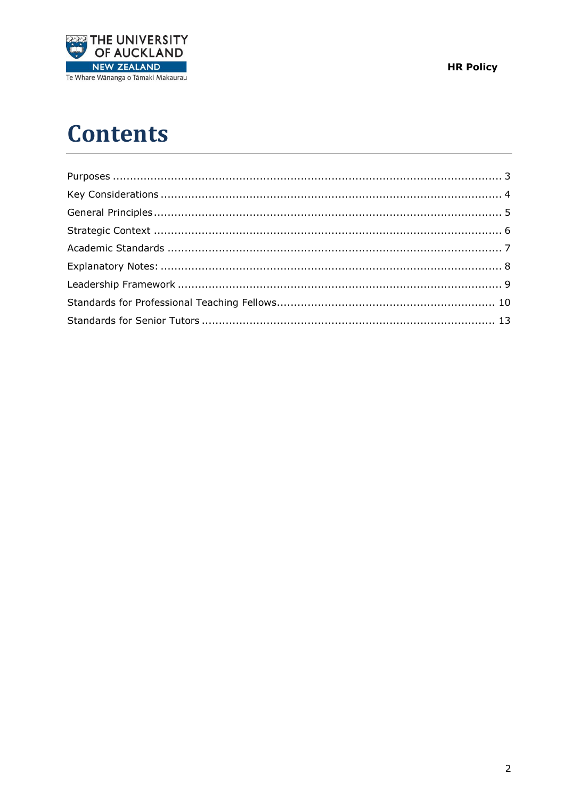

**HR Policy** 

# **Contents**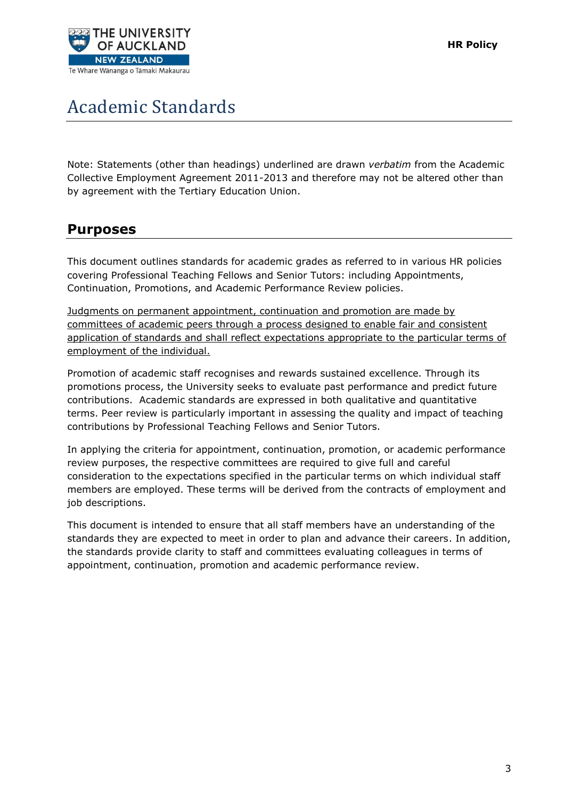

# Academic Standards

Note: Statements (other than headings) underlined are drawn *verbatim* from the Academic Collective Employment Agreement 2011-2013 and therefore may not be altered other than by agreement with the Tertiary Education Union.

## <span id="page-2-0"></span>**Purposes**

This document outlines standards for academic grades as referred to in various HR policies covering Professional Teaching Fellows and Senior Tutors: including Appointments, Continuation, Promotions, and Academic Performance Review policies.

Judgments on permanent appointment, continuation and promotion are made by committees of academic peers through a process designed to enable fair and consistent application of standards and shall reflect expectations appropriate to the particular terms of employment of the individual.

Promotion of academic staff recognises and rewards sustained excellence. Through its promotions process, the University seeks to evaluate past performance and predict future contributions. Academic standards are expressed in both qualitative and quantitative terms. Peer review is particularly important in assessing the quality and impact of teaching contributions by Professional Teaching Fellows and Senior Tutors.

In applying the criteria for appointment, continuation, promotion, or academic performance review purposes, the respective committees are required to give full and careful consideration to the expectations specified in the particular terms on which individual staff members are employed. These terms will be derived from the contracts of employment and job descriptions.

This document is intended to ensure that all staff members have an understanding of the standards they are expected to meet in order to plan and advance their careers. In addition, the standards provide clarity to staff and committees evaluating colleagues in terms of appointment, continuation, promotion and academic performance review.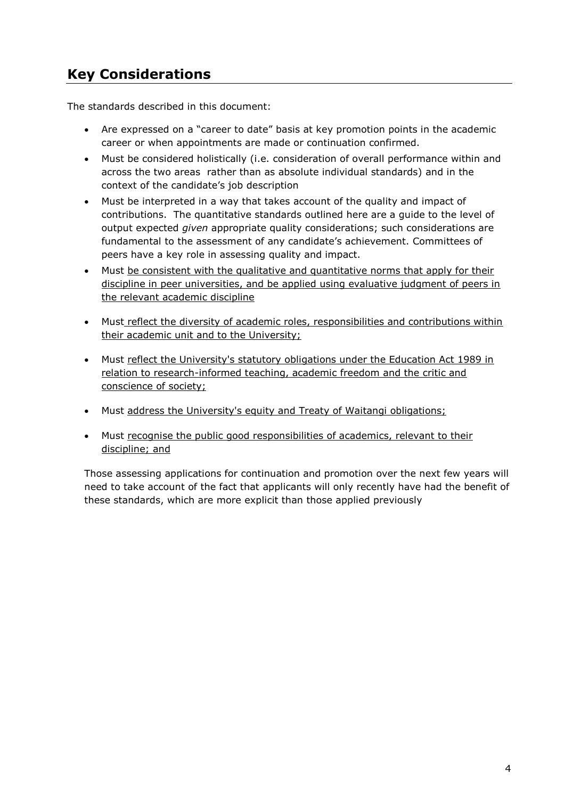# <span id="page-3-0"></span>**Key Considerations**

The standards described in this document:

- Are expressed on a "career to date" basis at key promotion points in the academic career or when appointments are made or continuation confirmed.
- Must be considered holistically (i.e. consideration of overall performance within and across the two areas rather than as absolute individual standards) and in the context of the candidate's job description
- Must be interpreted in a way that takes account of the quality and impact of contributions. The quantitative standards outlined here are a guide to the level of output expected *given* appropriate quality considerations; such considerations are fundamental to the assessment of any candidate's achievement. Committees of peers have a key role in assessing quality and impact.
- Must be consistent with the qualitative and quantitative norms that apply for their discipline in peer universities, and be applied using evaluative judgment of peers in the relevant academic discipline
- Must reflect the diversity of academic roles, responsibilities and contributions within their academic unit and to the University;
- Must reflect the University's statutory obligations under the Education Act 1989 in relation to research-informed teaching, academic freedom and the critic and conscience of society;
- Must address the University's equity and Treaty of Waitangi obligations;
- Must recognise the public good responsibilities of academics, relevant to their discipline; and

Those assessing applications for continuation and promotion over the next few years will need to take account of the fact that applicants will only recently have had the benefit of these standards, which are more explicit than those applied previously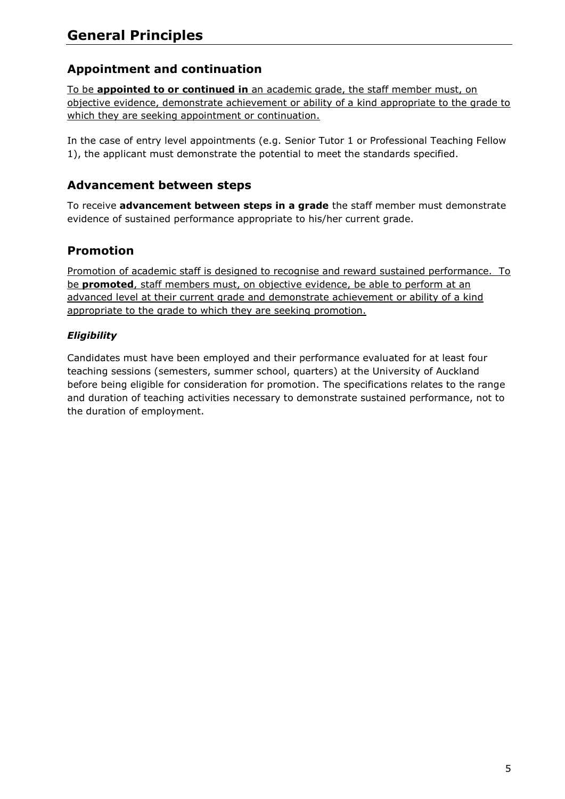## <span id="page-4-0"></span>**Appointment and continuation**

To be **appointed to or continued in** an academic grade, the staff member must, on objective evidence, demonstrate achievement or ability of a kind appropriate to the grade to which they are seeking appointment or continuation.

In the case of entry level appointments (e.g. Senior Tutor 1 or Professional Teaching Fellow 1), the applicant must demonstrate the potential to meet the standards specified.

#### **Advancement between steps**

To receive **advancement between steps in a grade** the staff member must demonstrate evidence of sustained performance appropriate to his/her current grade.

## **Promotion**

Promotion of academic staff is designed to recognise and reward sustained performance. To be **promoted**, staff members must, on objective evidence, be able to perform at an advanced level at their current grade and demonstrate achievement or ability of a kind appropriate to the grade to which they are seeking promotion.

#### *Eligibility*

Candidates must have been employed and their performance evaluated for at least four teaching sessions (semesters, summer school, quarters) at the University of Auckland before being eligible for consideration for promotion. The specifications relates to the range and duration of teaching activities necessary to demonstrate sustained performance, not to the duration of employment.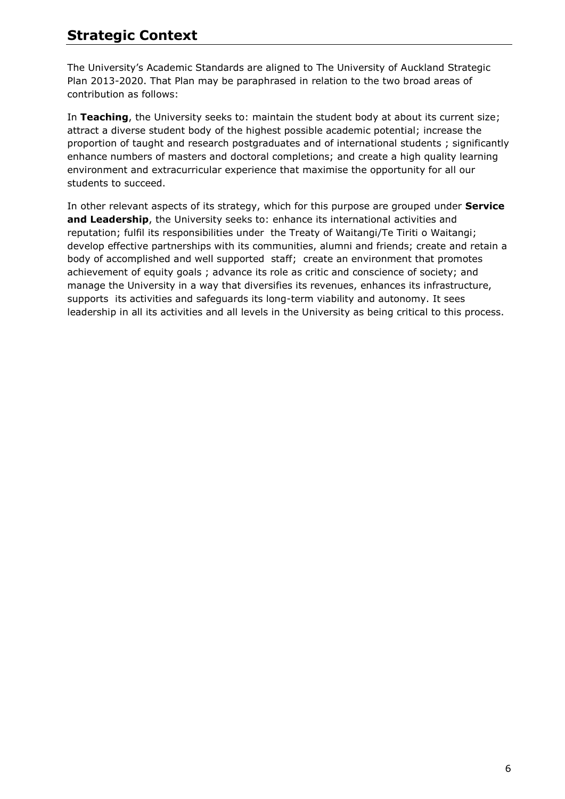# <span id="page-5-0"></span>**Strategic Context**

The University's Academic Standards are aligned to The University of Auckland Strategic Plan 2013-2020. That Plan may be paraphrased in relation to the two broad areas of contribution as follows:

In **Teaching**, the University seeks to: maintain the student body at about its current size; attract a diverse student body of the highest possible academic potential; increase the proportion of taught and research postgraduates and of international students ; significantly enhance numbers of masters and doctoral completions; and create a high quality learning environment and extracurricular experience that maximise the opportunity for all our students to succeed.

In other relevant aspects of its strategy, which for this purpose are grouped under **Service and Leadership**, the University seeks to: enhance its international activities and reputation; fulfil its responsibilities under the Treaty of Waitangi/Te Tiriti o Waitangi; develop effective partnerships with its communities, alumni and friends; create and retain a body of accomplished and well supported staff; create an environment that promotes achievement of equity goals ; advance its role as critic and conscience of society; and manage the University in a way that diversifies its revenues, enhances its infrastructure, supports its activities and safeguards its long-term viability and autonomy. It sees leadership in all its activities and all levels in the University as being critical to this process.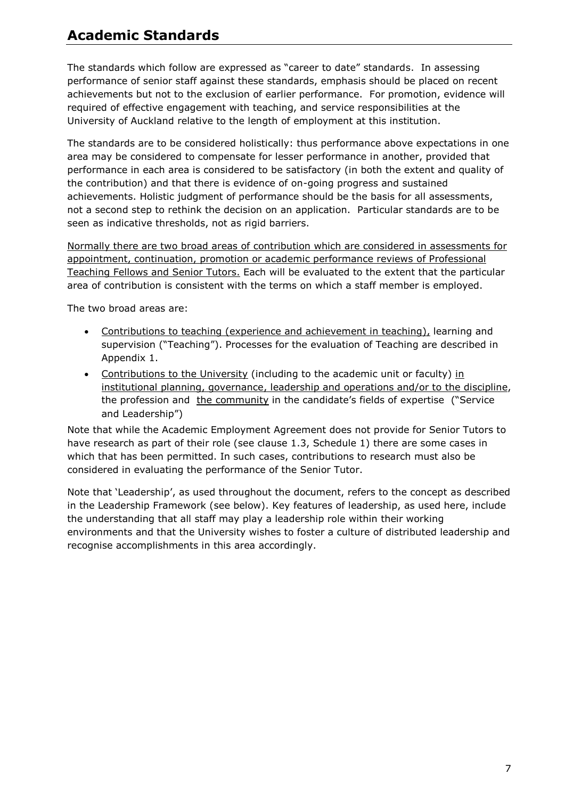# <span id="page-6-0"></span>**Academic Standards**

The standards which follow are expressed as "career to date" standards. In assessing performance of senior staff against these standards, emphasis should be placed on recent achievements but not to the exclusion of earlier performance. For promotion, evidence will required of effective engagement with teaching, and service responsibilities at the University of Auckland relative to the length of employment at this institution.

The standards are to be considered holistically: thus performance above expectations in one area may be considered to compensate for lesser performance in another, provided that performance in each area is considered to be satisfactory (in both the extent and quality of the contribution) and that there is evidence of on-going progress and sustained achievements. Holistic judgment of performance should be the basis for all assessments, not a second step to rethink the decision on an application. Particular standards are to be seen as indicative thresholds, not as rigid barriers.

Normally there are two broad areas of contribution which are considered in assessments for appointment, continuation, promotion or academic performance reviews of Professional Teaching Fellows and Senior Tutors. Each will be evaluated to the extent that the particular area of contribution is consistent with the terms on which a staff member is employed.

The two broad areas are:

- Contributions to teaching (experience and achievement in teaching), learning and supervision ("Teaching"). Processes for the evaluation of Teaching are described in Appendix 1.
- Contributions to the University (including to the academic unit or faculty) in institutional planning, governance, leadership and operations and/or to the discipline, the profession and the community in the candidate's fields of expertise ("Service and Leadership")

Note that while the Academic Employment Agreement does not provide for Senior Tutors to have research as part of their role (see clause 1.3, Schedule 1) there are some cases in which that has been permitted. In such cases, contributions to research must also be considered in evaluating the performance of the Senior Tutor.

Note that 'Leadership', as used throughout the document, refers to the concept as described in the Leadership Framework (see below). Key features of leadership, as used here, include the understanding that all staff may play a leadership role within their working environments and that the University wishes to foster a culture of distributed leadership and recognise accomplishments in this area accordingly.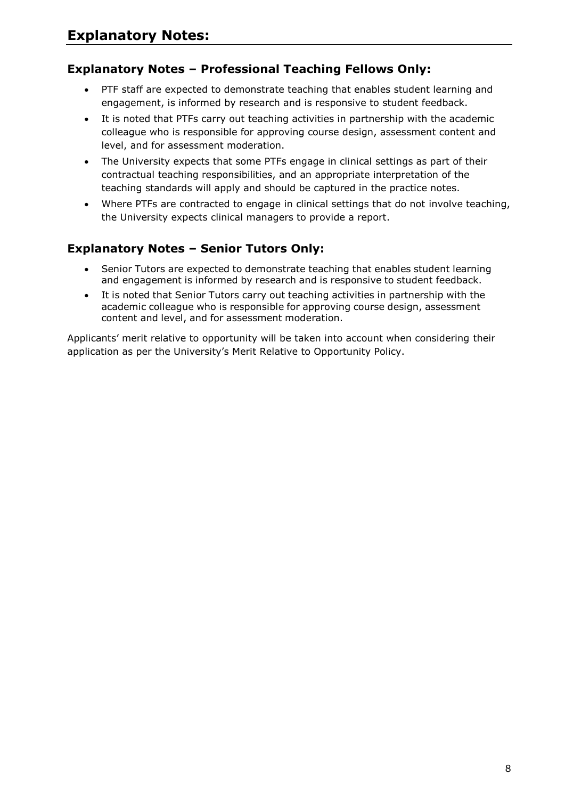## <span id="page-7-0"></span>**Explanatory Notes – Professional Teaching Fellows Only:**

- PTF staff are expected to demonstrate teaching that enables student learning and engagement, is informed by research and is responsive to student feedback.
- It is noted that PTFs carry out teaching activities in partnership with the academic colleague who is responsible for approving course design, assessment content and level, and for assessment moderation.
- The University expects that some PTFs engage in clinical settings as part of their contractual teaching responsibilities, and an appropriate interpretation of the teaching standards will apply and should be captured in the practice notes.
- Where PTFs are contracted to engage in clinical settings that do not involve teaching, the University expects clinical managers to provide a report.

## **Explanatory Notes – Senior Tutors Only:**

- Senior Tutors are expected to demonstrate teaching that enables student learning and engagement is informed by research and is responsive to student feedback.
- It is noted that Senior Tutors carry out teaching activities in partnership with the academic colleague who is responsible for approving course design, assessment content and level, and for assessment moderation.

Applicants' merit relative to opportunity will be taken into account when considering their application as per the University's Merit Relative to Opportunity Policy.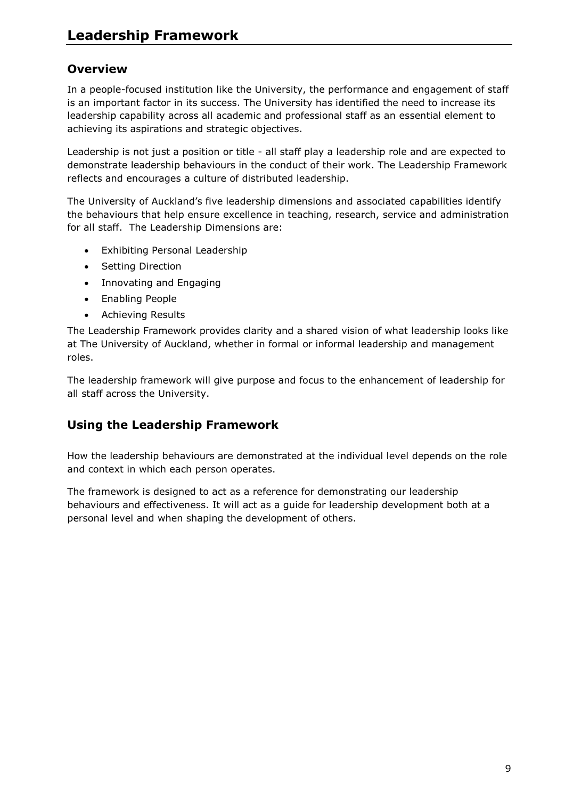## <span id="page-8-0"></span>**Overview**

In a people-focused institution like the University, the performance and engagement of staff is an important factor in its success. The University has identified the need to increase its leadership capability across all academic and professional staff as an essential element to achieving its aspirations and strategic objectives.

Leadership is not just a position or title - all staff play a leadership role and are expected to demonstrate leadership behaviours in the conduct of their work. The Leadership Framework reflects and encourages a culture of distributed leadership.

The University of Auckland's five leadership dimensions and associated capabilities identify the behaviours that help ensure excellence in teaching, research, service and administration for all staff. The Leadership Dimensions are:

- Exhibiting Personal Leadership
- Setting Direction
- Innovating and Engaging
- Enabling People
- Achieving Results

The Leadership Framework provides clarity and a shared vision of what leadership looks like at The University of Auckland, whether in formal or informal leadership and management roles.

The leadership framework will give purpose and focus to the enhancement of leadership for all staff across the University.

## **Using the Leadership Framework**

How the leadership behaviours are demonstrated at the individual level depends on the role and context in which each person operates.

The framework is designed to act as a reference for demonstrating our leadership behaviours and effectiveness. It will act as a guide for leadership development both at a personal level and when shaping the development of others.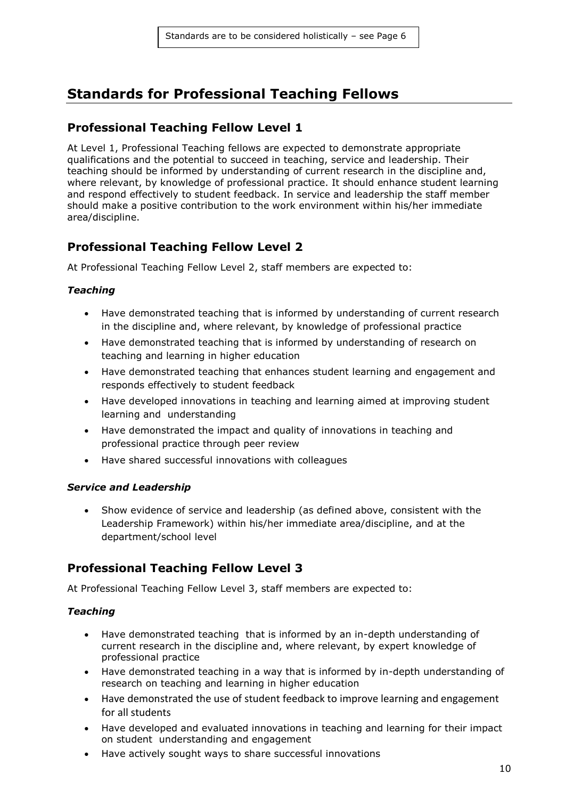# <span id="page-9-0"></span>**Standards for Professional Teaching Fellows**

#### **Professional Teaching Fellow Level 1**

At Level 1, Professional Teaching fellows are expected to demonstrate appropriate qualifications and the potential to succeed in teaching, service and leadership. Their teaching should be informed by understanding of current research in the discipline and, where relevant, by knowledge of professional practice. It should enhance student learning and respond effectively to student feedback. In service and leadership the staff member should make a positive contribution to the work environment within his/her immediate area/discipline.

### **Professional Teaching Fellow Level 2**

At Professional Teaching Fellow Level 2, staff members are expected to:

#### *Teaching*

- Have demonstrated teaching that is informed by understanding of current research in the discipline and, where relevant, by knowledge of professional practice
- Have demonstrated teaching that is informed by understanding of research on teaching and learning in higher education
- Have demonstrated teaching that enhances student learning and engagement and responds effectively to student feedback
- Have developed innovations in teaching and learning aimed at improving student learning and understanding
- Have demonstrated the impact and quality of innovations in teaching and professional practice through peer review
- Have shared successful innovations with colleagues

#### *Service and Leadership*

 Show evidence of service and leadership (as defined above, consistent with the Leadership Framework) within his/her immediate area/discipline, and at the department/school level

### **Professional Teaching Fellow Level 3**

At Professional Teaching Fellow Level 3, staff members are expected to:

#### *Teaching*

- Have demonstrated teaching that is informed by an in-depth understanding of current research in the discipline and, where relevant, by expert knowledge of professional practice
- Have demonstrated teaching in a way that is informed by in-depth understanding of research on teaching and learning in higher education
- Have demonstrated the use of student feedback to improve learning and engagement for all students
- Have developed and evaluated innovations in teaching and learning for their impact on student understanding and engagement
- Have actively sought ways to share successful innovations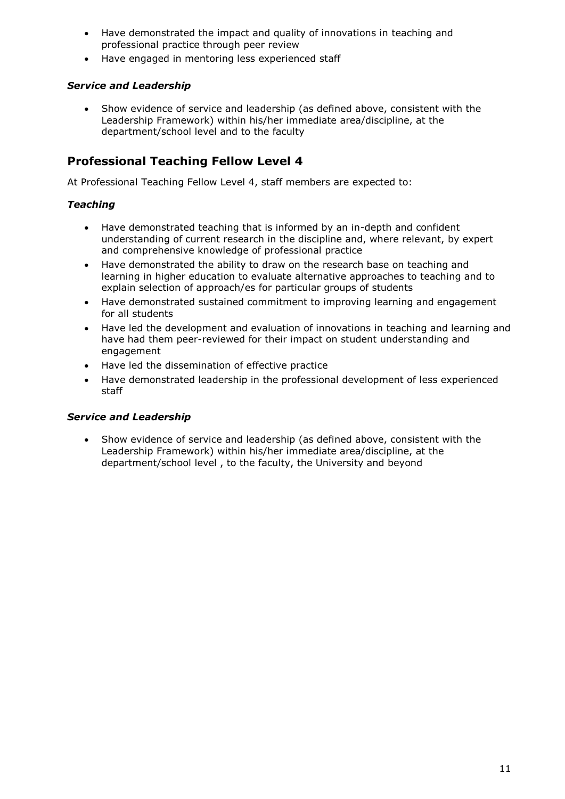- Have demonstrated the impact and quality of innovations in teaching and professional practice through peer review
- Have engaged in mentoring less experienced staff

#### *Service and Leadership*

 Show evidence of service and leadership (as defined above, consistent with the Leadership Framework) within his/her immediate area/discipline, at the department/school level and to the faculty

#### **Professional Teaching Fellow Level 4**

At Professional Teaching Fellow Level 4, staff members are expected to:

#### *Teaching*

- Have demonstrated teaching that is informed by an in-depth and confident understanding of current research in the discipline and, where relevant, by expert and comprehensive knowledge of professional practice
- Have demonstrated the ability to draw on the research base on teaching and learning in higher education to evaluate alternative approaches to teaching and to explain selection of approach/es for particular groups of students
- Have demonstrated sustained commitment to improving learning and engagement for all students
- Have led the development and evaluation of innovations in teaching and learning and have had them peer-reviewed for their impact on student understanding and engagement
- Have led the dissemination of effective practice
- Have demonstrated leadership in the professional development of less experienced staff

#### *Service and Leadership*

 Show evidence of service and leadership (as defined above, consistent with the Leadership Framework) within his/her immediate area/discipline, at the department/school level , to the faculty, the University and beyond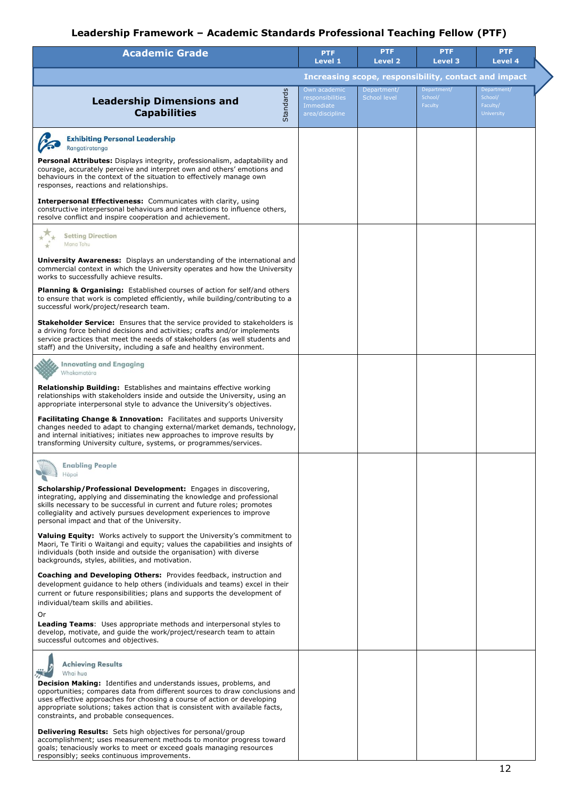# **Leadership Framework – Academic Standards Professional Teaching Fellow (PTF)**

| <b>Academic Grade</b>                                                                                                                                                                                                                                                                                                                                         | <b>PTF</b><br>Level 1                                            | <b>PTF</b><br><b>Level 2</b> | <b>PTF</b><br><b>Level 3</b>      | <b>PTF</b><br>Level 4                                   |  |
|---------------------------------------------------------------------------------------------------------------------------------------------------------------------------------------------------------------------------------------------------------------------------------------------------------------------------------------------------------------|------------------------------------------------------------------|------------------------------|-----------------------------------|---------------------------------------------------------|--|
|                                                                                                                                                                                                                                                                                                                                                               | Increasing scope, responsibility, contact and impact             |                              |                                   |                                                         |  |
| Standards<br><b>Leadership Dimensions and</b><br><b>Capabilities</b>                                                                                                                                                                                                                                                                                          | Own academic<br>responsibilities<br>Immediate<br>area/discipline | Department/<br>School level  | Department/<br>School/<br>Faculty | Department/<br>School/<br>Faculty/<br><b>University</b> |  |
| <b>Exhibiting Personal Leadership</b><br>Rangatiratanga                                                                                                                                                                                                                                                                                                       |                                                                  |                              |                                   |                                                         |  |
| <b>Personal Attributes:</b> Displays integrity, professionalism, adaptability and<br>courage, accurately perceive and interpret own and others' emotions and<br>behaviours in the context of the situation to effectively manage own<br>responses, reactions and relationships.                                                                               |                                                                  |                              |                                   |                                                         |  |
| <b>Interpersonal Effectiveness:</b> Communicates with clarity, using<br>constructive interpersonal behaviours and interactions to influence others,<br>resolve conflict and inspire cooperation and achievement.                                                                                                                                              |                                                                  |                              |                                   |                                                         |  |
| <b>Setting Direction</b><br>Mana Tohu                                                                                                                                                                                                                                                                                                                         |                                                                  |                              |                                   |                                                         |  |
| <b>University Awareness:</b> Displays an understanding of the international and<br>commercial context in which the University operates and how the University<br>works to successfully achieve results.                                                                                                                                                       |                                                                  |                              |                                   |                                                         |  |
| <b>Planning &amp; Organising:</b> Established courses of action for self/and others<br>to ensure that work is completed efficiently, while building/contributing to a<br>successful work/project/research team.                                                                                                                                               |                                                                  |                              |                                   |                                                         |  |
| <b>Stakeholder Service:</b> Ensures that the service provided to stakeholders is<br>a driving force behind decisions and activities; crafts and/or implements<br>service practices that meet the needs of stakeholders (as well students and<br>staff) and the University, including a safe and healthy environment.                                          |                                                                  |                              |                                   |                                                         |  |
| <b>Innovating and Engaging</b><br>Whakamatära                                                                                                                                                                                                                                                                                                                 |                                                                  |                              |                                   |                                                         |  |
| <b>Relationship Building:</b> Establishes and maintains effective working<br>relationships with stakeholders inside and outside the University, using an<br>appropriate interpersonal style to advance the University's objectives.                                                                                                                           |                                                                  |                              |                                   |                                                         |  |
| <b>Facilitating Change &amp; Innovation:</b> Facilitates and supports University<br>changes needed to adapt to changing external/market demands, technology,<br>and internal initiatives; initiates new approaches to improve results by<br>transforming University culture, systems, or programmes/services.                                                 |                                                                  |                              |                                   |                                                         |  |
| <b>Enabling People</b><br>Hāpai                                                                                                                                                                                                                                                                                                                               |                                                                  |                              |                                   |                                                         |  |
| <b>Scholarship/Professional Development:</b> Engages in discovering,<br>integrating, applying and disseminating the knowledge and professional<br>skills necessary to be successful in current and future roles; promotes<br>collegiality and actively pursues development experiences to improve<br>personal impact and that of the University.              |                                                                  |                              |                                   |                                                         |  |
| <b>Valuing Equity:</b> Works actively to support the University's commitment to<br>Maori, Te Tiriti o Waitangi and equity; values the capabilities and insights of<br>individuals (both inside and outside the organisation) with diverse<br>backgrounds, styles, abilities, and motivation.                                                                  |                                                                  |                              |                                   |                                                         |  |
| <b>Coaching and Developing Others:</b> Provides feedback, instruction and<br>development quidance to help others (individuals and teams) excel in their<br>current or future responsibilities; plans and supports the development of<br>individual/team skills and abilities.                                                                                 |                                                                  |                              |                                   |                                                         |  |
| Or<br><b>Leading Teams:</b> Uses appropriate methods and interpersonal styles to<br>develop, motivate, and guide the work/project/research team to attain<br>successful outcomes and objectives.                                                                                                                                                              |                                                                  |                              |                                   |                                                         |  |
| <b>Achieving Results</b><br>Whai hua                                                                                                                                                                                                                                                                                                                          |                                                                  |                              |                                   |                                                         |  |
| <b>Decision Making:</b> Identifies and understands issues, problems, and<br>opportunities; compares data from different sources to draw conclusions and<br>uses effective approaches for choosing a course of action or developing<br>appropriate solutions; takes action that is consistent with available facts,<br>constraints, and probable consequences. |                                                                  |                              |                                   |                                                         |  |
| <b>Delivering Results:</b> Sets high objectives for personal/group<br>accomplishment; uses measurement methods to monitor progress toward<br>goals; tenaciously works to meet or exceed goals managing resources<br>responsibly; seeks continuous improvements.                                                                                               |                                                                  |                              |                                   |                                                         |  |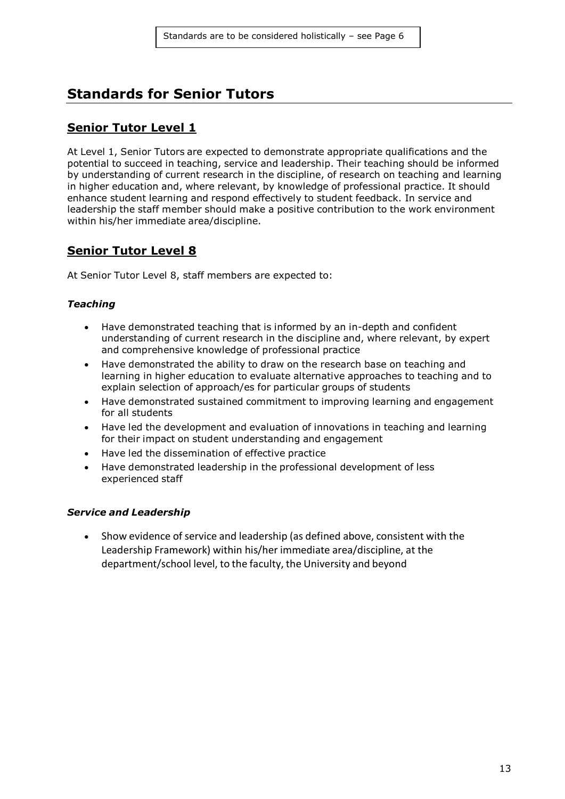# <span id="page-12-0"></span>**Standards for Senior Tutors**

#### **Senior Tutor Level 1**

At Level 1, Senior Tutors are expected to demonstrate appropriate qualifications and the potential to succeed in teaching, service and leadership. Their teaching should be informed by understanding of current research in the discipline, of research on teaching and learning in higher education and, where relevant, by knowledge of professional practice. It should enhance student learning and respond effectively to student feedback. In service and leadership the staff member should make a positive contribution to the work environment within his/her immediate area/discipline.

### **Senior Tutor Level 8**

At Senior Tutor Level 8, staff members are expected to:

#### *Teaching*

- Have demonstrated teaching that is informed by an in-depth and confident understanding of current research in the discipline and, where relevant, by expert and comprehensive knowledge of professional practice
- Have demonstrated the ability to draw on the research base on teaching and learning in higher education to evaluate alternative approaches to teaching and to explain selection of approach/es for particular groups of students
- Have demonstrated sustained commitment to improving learning and engagement for all students
- Have led the development and evaluation of innovations in teaching and learning for their impact on student understanding and engagement
- Have led the dissemination of effective practice
- Have demonstrated leadership in the professional development of less experienced staff

#### *Service and Leadership*

 Show evidence of service and leadership (as defined above, consistent with the Leadership Framework) within his/her immediate area/discipline, at the department/school level, to the faculty, the University and beyond